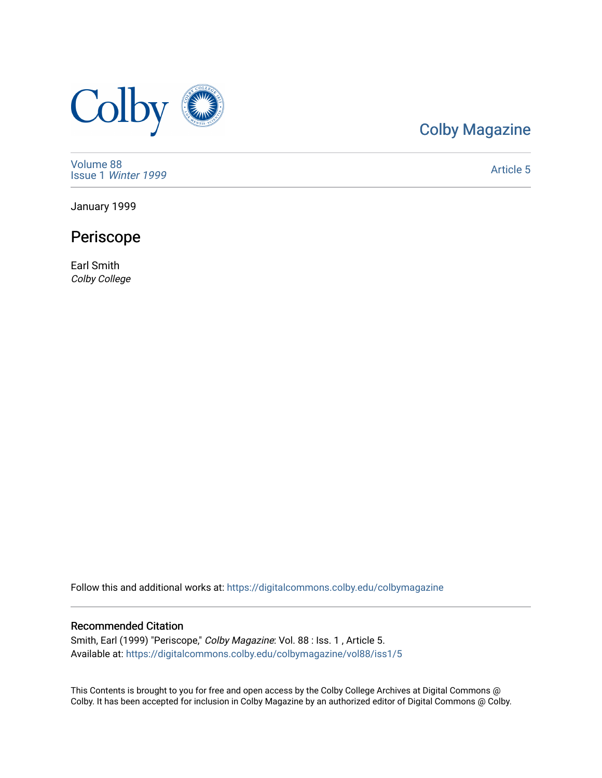

# [Colby Magazine](https://digitalcommons.colby.edu/colbymagazine)

[Volume 88](https://digitalcommons.colby.edu/colbymagazine/vol88) Issue 1 [Winter 1999](https://digitalcommons.colby.edu/colbymagazine/vol88/iss1) 

[Article 5](https://digitalcommons.colby.edu/colbymagazine/vol88/iss1/5) 

January 1999

## Periscope

Earl Smith Colby College

Follow this and additional works at: [https://digitalcommons.colby.edu/colbymagazine](https://digitalcommons.colby.edu/colbymagazine?utm_source=digitalcommons.colby.edu%2Fcolbymagazine%2Fvol88%2Fiss1%2F5&utm_medium=PDF&utm_campaign=PDFCoverPages)

## Recommended Citation

Smith, Earl (1999) "Periscope," Colby Magazine: Vol. 88 : Iss. 1 , Article 5. Available at: [https://digitalcommons.colby.edu/colbymagazine/vol88/iss1/5](https://digitalcommons.colby.edu/colbymagazine/vol88/iss1/5?utm_source=digitalcommons.colby.edu%2Fcolbymagazine%2Fvol88%2Fiss1%2F5&utm_medium=PDF&utm_campaign=PDFCoverPages)

This Contents is brought to you for free and open access by the Colby College Archives at Digital Commons @ Colby. It has been accepted for inclusion in Colby Magazine by an authorized editor of Digital Commons @ Colby.